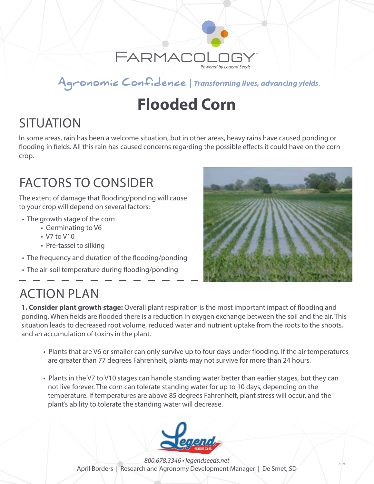

#### Agronomic Confidence | Transforming lives, advancing yields.

# **Flooded Corn**

# **SITUATION**

In some areas, rain has been a welcome situation, but in other areas, heavy rains have caused ponding or flooding in fields. All this rain has caused concerns regarding the possible effects it could have on the corn crop.

## FACTORS TO CONSIDER

The extent of damage that flooding/ponding will cause to your crop will depend on several factors:

- The growth stage of the corn
	- Germinating to V6
	- V7 to V10
	- Pre-tassel to silking
- The frequency and duration of the flooding/ponding
- The air-soil temperature during flooding/ponding



### ACTION PLAN

**1. Consider plant growth stage:** Overall plant respiration is the most important impact of flooding and ponding. When fields are flooded there is a reduction in oxygen exchange between the soil and the air. This situation leads to decreased root volume, reduced water and nutrient uptake from the roots to the shoots, and an accumulation of toxins in the plant.

- Plants that are V6 or smaller can only survive up to four days under flooding. If the air temperatures are greater than 77 degrees Fahrenheit, plants may not survive for more than 24 hours.
- Plants in the V7 to V10 stages can handle standing water better than earlier stages, but they can not live forever. The corn can tolerate standing water for up to 10 days, depending on the temperature. If temperatures are above 85 degrees Fahrenheit, plant stress will occur, and the plant's ability to tolerate the standing water will decrease.